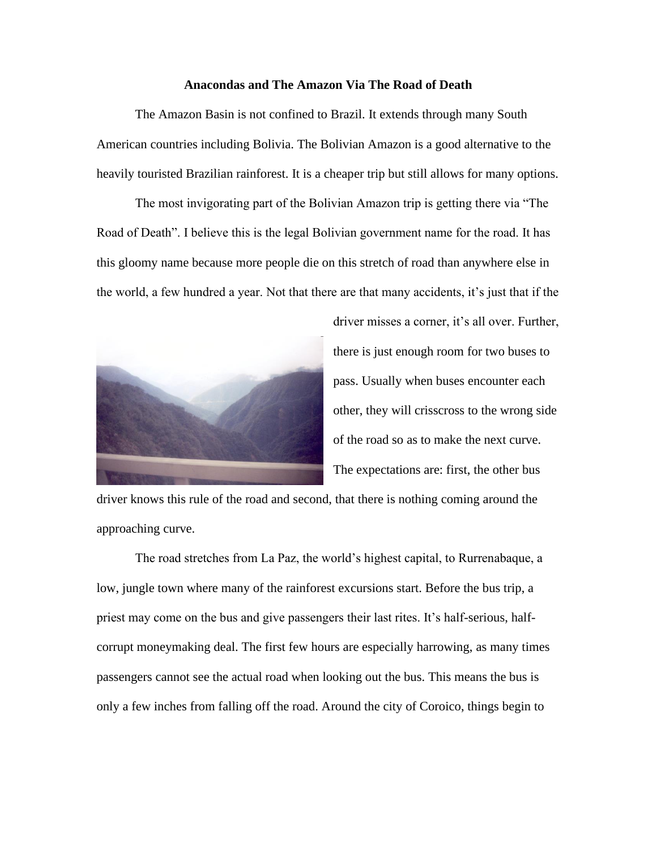## **Anacondas and The Amazon Via The Road of Death**

The Amazon Basin is not confined to Brazil. It extends through many South American countries including Bolivia. The Bolivian Amazon is a good alternative to the heavily touristed Brazilian rainforest. It is a cheaper trip but still allows for many options.

The most invigorating part of the Bolivian Amazon trip is getting there via "The Road of Death". I believe this is the legal Bolivian government name for the road. It has this gloomy name because more people die on this stretch of road than anywhere else in the world, a few hundred a year. Not that there are that many accidents, it's just that if the



driver misses a corner, it's all over. Further, there is just enough room for two buses to pass. Usually when buses encounter each other, they will crisscross to the wrong side of the road so as to make the next curve. The expectations are: first, the other bus

driver knows this rule of the road and second, that there is nothing coming around the approaching curve.

The road stretches from La Paz, the world's highest capital, to Rurrenabaque, a low, jungle town where many of the rainforest excursions start. Before the bus trip, a priest may come on the bus and give passengers their last rites. It's half-serious, halfcorrupt moneymaking deal. The first few hours are especially harrowing, as many times passengers cannot see the actual road when looking out the bus. This means the bus is only a few inches from falling off the road. Around the city of Coroico, things begin to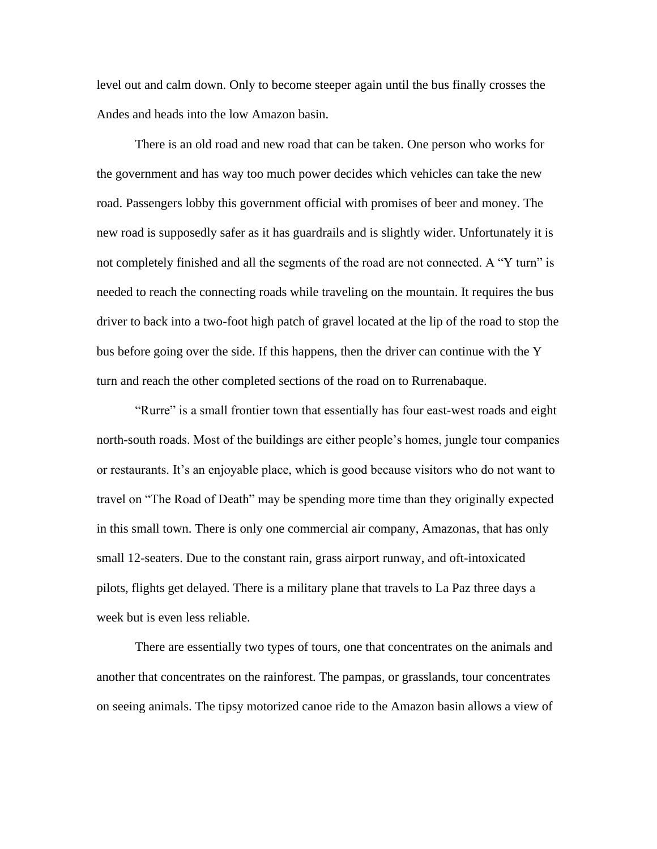level out and calm down. Only to become steeper again until the bus finally crosses the Andes and heads into the low Amazon basin.

There is an old road and new road that can be taken. One person who works for the government and has way too much power decides which vehicles can take the new road. Passengers lobby this government official with promises of beer and money. The new road is supposedly safer as it has guardrails and is slightly wider. Unfortunately it is not completely finished and all the segments of the road are not connected. A "Y turn" is needed to reach the connecting roads while traveling on the mountain. It requires the bus driver to back into a two-foot high patch of gravel located at the lip of the road to stop the bus before going over the side. If this happens, then the driver can continue with the Y turn and reach the other completed sections of the road on to Rurrenabaque.

"Rurre" is a small frontier town that essentially has four east-west roads and eight north-south roads. Most of the buildings are either people's homes, jungle tour companies or restaurants. It's an enjoyable place, which is good because visitors who do not want to travel on "The Road of Death" may be spending more time than they originally expected in this small town. There is only one commercial air company, Amazonas, that has only small 12-seaters. Due to the constant rain, grass airport runway, and oft-intoxicated pilots, flights get delayed. There is a military plane that travels to La Paz three days a week but is even less reliable.

There are essentially two types of tours, one that concentrates on the animals and another that concentrates on the rainforest. The pampas, or grasslands, tour concentrates on seeing animals. The tipsy motorized canoe ride to the Amazon basin allows a view of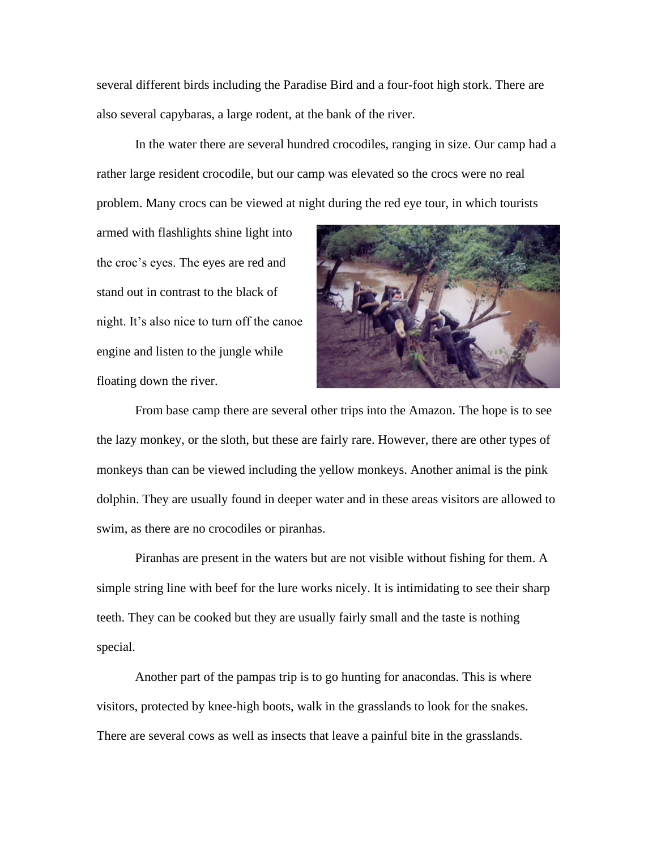several different birds including the Paradise Bird and a four-foot high stork. There are also several capybaras, a large rodent, at the bank of the river.

In the water there are several hundred crocodiles, ranging in size. Our camp had a rather large resident crocodile, but our camp was elevated so the crocs were no real problem. Many crocs can be viewed at night during the red eye tour, in which tourists

armed with flashlights shine light into the croc's eyes. The eyes are red and stand out in contrast to the black of night. It's also nice to turn off the canoe engine and listen to the jungle while floating down the river.



From base camp there are several other trips into the Amazon. The hope is to see the lazy monkey, or the sloth, but these are fairly rare. However, there are other types of monkeys than can be viewed including the yellow monkeys. Another animal is the pink dolphin. They are usually found in deeper water and in these areas visitors are allowed to swim, as there are no crocodiles or piranhas.

Piranhas are present in the waters but are not visible without fishing for them. A simple string line with beef for the lure works nicely. It is intimidating to see their sharp teeth. They can be cooked but they are usually fairly small and the taste is nothing special.

Another part of the pampas trip is to go hunting for anacondas. This is where visitors, protected by knee-high boots, walk in the grasslands to look for the snakes. There are several cows as well as insects that leave a painful bite in the grasslands.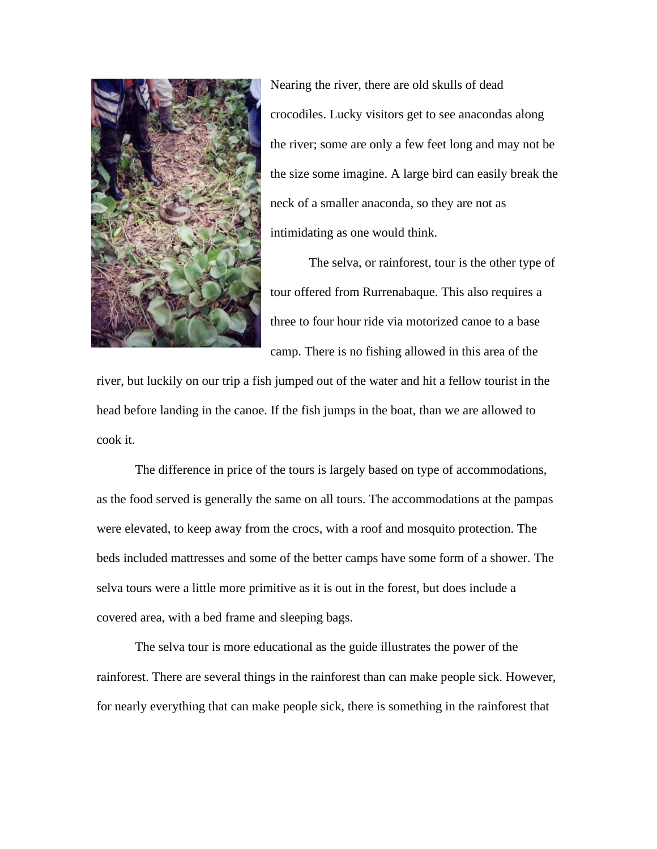

Nearing the river, there are old skulls of dead crocodiles. Lucky visitors get to see anacondas along the river; some are only a few feet long and may not be the size some imagine. A large bird can easily break the neck of a smaller anaconda, so they are not as intimidating as one would think.

The selva, or rainforest, tour is the other type of tour offered from Rurrenabaque. This also requires a three to four hour ride via motorized canoe to a base camp. There is no fishing allowed in this area of the

river, but luckily on our trip a fish jumped out of the water and hit a fellow tourist in the head before landing in the canoe. If the fish jumps in the boat, than we are allowed to cook it.

The difference in price of the tours is largely based on type of accommodations, as the food served is generally the same on all tours. The accommodations at the pampas were elevated, to keep away from the crocs, with a roof and mosquito protection. The beds included mattresses and some of the better camps have some form of a shower. The selva tours were a little more primitive as it is out in the forest, but does include a covered area, with a bed frame and sleeping bags.

The selva tour is more educational as the guide illustrates the power of the rainforest. There are several things in the rainforest than can make people sick. However, for nearly everything that can make people sick, there is something in the rainforest that